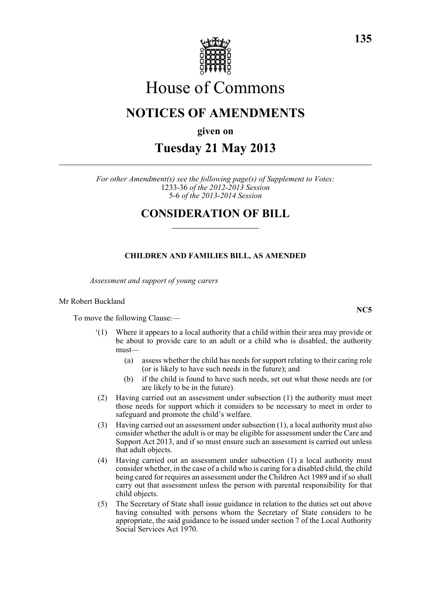

# House of Commons

## **NOTICES OF AMENDMENTS**

**given on**

**Tuesday 21 May 2013**

*For other Amendment(s) see the following page(s) of Supplement to Votes:* 1233-36 *of the 2012-2013 Session* 5-6 *of the 2013-2014 Session*

### **CONSIDERATION OF BILL**

#### **CHILDREN AND FAMILIES BILL, AS AMENDED**

*Assessment and support of young carers*

#### Mr Robert Buckland

To move the following Clause:—

- '(1) Where it appears to a local authority that a child within their area may provide or be about to provide care to an adult or a child who is disabled, the authority must—
	- (a) assess whether the child has needs for support relating to their caring role (or is likely to have such needs in the future); and
	- (b) if the child is found to have such needs, set out what those needs are (or are likely to be in the future).
- (2) Having carried out an assessment under subsection (1) the authority must meet those needs for support which it considers to be necessary to meet in order to safeguard and promote the child's welfare.
- (3) Having carried out an assessment under subsection (1), a local authority must also consider whether the adult is or may be eligible for assessment under the Care and Support Act 2013, and if so must ensure such an assessment is carried out unless that adult objects.
- (4) Having carried out an assessment under subsection (1) a local authority must consider whether, in the case of a child who is caring for a disabled child, the child being cared for requires an assessment under the Children Act 1989 and if so shall carry out that assessment unless the person with parental responsibility for that child objects.
- (5) The Secretary of State shall issue guidance in relation to the duties set out above having consulted with persons whom the Secretary of State considers to be appropriate, the said guidance to be issued under section 7 of the Local Authority Social Services Act 1970.

**135**

**NC5**